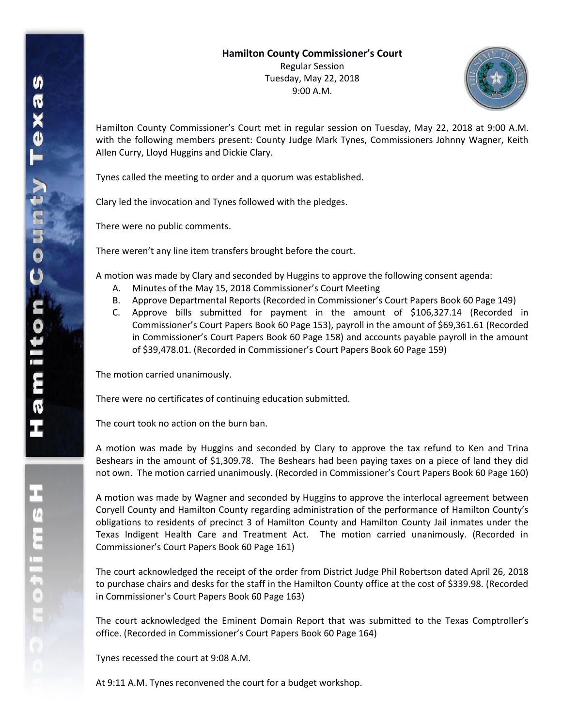

Hamilton County Commissioner's Court met in regular session on Tuesday, May 22, 2018 at 9:00 A.M. with the following members present: County Judge Mark Tynes, Commissioners Johnny Wagner, Keith Allen Curry, Lloyd Huggins and Dickie Clary.

Tynes called the meeting to order and a quorum was established.

Clary led the invocation and Tynes followed with the pledges.

There were no public comments.

There weren't any line item transfers brought before the court.

A motion was made by Clary and seconded by Huggins to approve the following consent agenda:

- A. Minutes of the May 15, 2018 Commissioner's Court Meeting
- B. Approve Departmental Reports (Recorded in Commissioner's Court Papers Book 60 Page 149)
- C. Approve bills submitted for payment in the amount of \$106,327.14 (Recorded in Commissioner's Court Papers Book 60 Page 153), payroll in the amount of \$69,361.61 (Recorded in Commissioner's Court Papers Book 60 Page 158) and accounts payable payroll in the amount of \$39,478.01. (Recorded in Commissioner's Court Papers Book 60 Page 159)

The motion carried unanimously.

There were no certificates of continuing education submitted.

The court took no action on the burn ban.

A motion was made by Huggins and seconded by Clary to approve the tax refund to Ken and Trina Beshears in the amount of \$1,309.78. The Beshears had been paying taxes on a piece of land they did not own. The motion carried unanimously. (Recorded in Commissioner's Court Papers Book 60 Page 160)

A motion was made by Wagner and seconded by Huggins to approve the interlocal agreement between Coryell County and Hamilton County regarding administration of the performance of Hamilton County's obligations to residents of precinct 3 of Hamilton County and Hamilton County Jail inmates under the Texas Indigent Health Care and Treatment Act. The motion carried unanimously. (Recorded in Commissioner's Court Papers Book 60 Page 161)

The court acknowledged the receipt of the order from District Judge Phil Robertson dated April 26, 2018 to purchase chairs and desks for the staff in the Hamilton County office at the cost of \$339.98. (Recorded in Commissioner's Court Papers Book 60 Page 163)

The court acknowledged the Eminent Domain Report that was submitted to the Texas Comptroller's office. (Recorded in Commissioner's Court Papers Book 60 Page 164)

Tynes recessed the court at 9:08 A.M.

At 9:11 A.M. Tynes reconvened the court for a budget workshop.